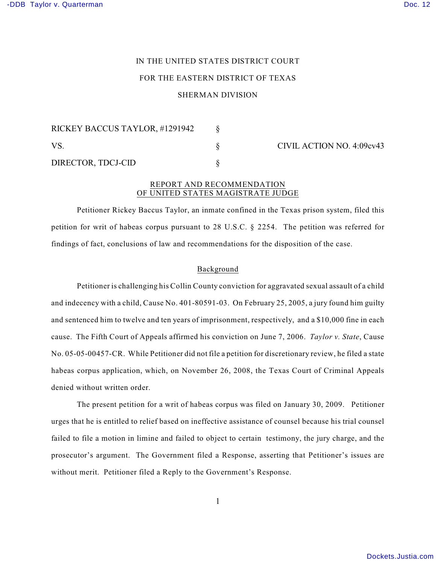# IN THE UNITED STATES DISTRICT COURT FOR THE EASTERN DISTRICT OF TEXAS

# SHERMAN DIVISION

| RICKEY BACCUS TAYLOR, #1291942 |  |  |
|--------------------------------|--|--|
| VS.                            |  |  |
| DIRECTOR, TDCJ-CID             |  |  |

CIVIL ACTION NO. 4:09cv43

# REPORT AND RECOMMENDATION OF UNITED STATES MAGISTRATE JUDGE

Petitioner Rickey Baccus Taylor, an inmate confined in the Texas prison system, filed this petition for writ of habeas corpus pursuant to 28 U.S.C. § 2254. The petition was referred for findings of fact, conclusions of law and recommendations for the disposition of the case.

# Background

Petitioner is challenging his Collin County conviction for aggravated sexual assault of a child and indecency with a child, Cause No. 401-80591-03. On February 25, 2005, a jury found him guilty and sentenced him to twelve and ten years of imprisonment, respectively, and a \$10,000 fine in each cause. The Fifth Court of Appeals affirmed his conviction on June 7, 2006. *Taylor v. State*, Cause No. 05-05-00457-CR. While Petitioner did not file a petition for discretionary review, he filed a state habeas corpus application, which, on November 26, 2008, the Texas Court of Criminal Appeals denied without written order.

The present petition for a writ of habeas corpus was filed on January 30, 2009. Petitioner urges that he is entitled to relief based on ineffective assistance of counsel because his trial counsel failed to file a motion in limine and failed to object to certain testimony, the jury charge, and the prosecutor's argument. The Government filed a Response, asserting that Petitioner's issues are without merit. Petitioner filed a Reply to the Government's Response.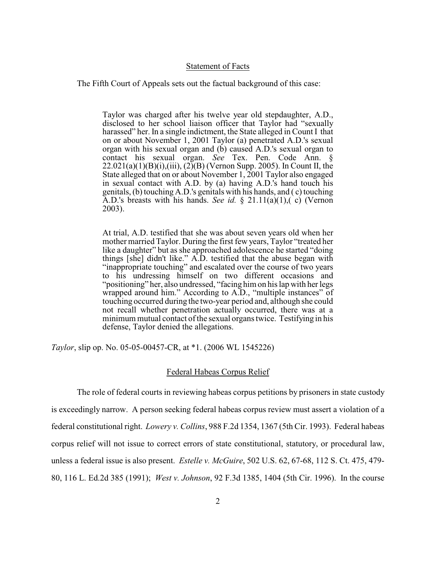### Statement of Facts

The Fifth Court of Appeals sets out the factual background of this case:

Taylor was charged after his twelve year old stepdaughter, A.D., disclosed to her school liaison officer that Taylor had "sexually harassed" her. In a single indictment, the State alleged in Count I that on or about November 1, 2001 Taylor (a) penetrated A.D.'s sexual organ with his sexual organ and (b) caused A.D.'s sexual organ to contact his sexual organ. *See* Tex. Pen. Code Ann. §  $22.021(a)(1)(B)(i), (iii), (2)(B)(Vernon Supp. 2005)$ . In Count II, the State alleged that on or about November 1, 2001 Taylor also engaged in sexual contact with A.D. by (a) having A.D.'s hand touch his genitals, (b) touching A.D.'s genitals with his hands, and ( c) touching A.D.'s breasts with his hands. *See id.*  $\frac{1}{2}$  21.11(a)(1),(c) (Vernon 2003).

At trial, A.D. testified that she was about seven years old when her mother married Taylor. During the first few years, Taylor "treated her like a daughter" but as she approached adolescence he started "doing things [she] didn't like." A.D. testified that the abuse began with "inappropriate touching" and escalated over the course of two years to his undressing himself on two different occasions and "positioning" her, also undressed, "facing himon his lap with her legs wrapped around him." According to A.D., "multiple instances" of touching occurred during the two-year period and, although she could not recall whether penetration actually occurred, there was at a minimum mutual contact of the sexual organs twice. Testifying in his defense, Taylor denied the allegations.

*Taylor*, slip op. No. 05-05-00457-CR, at \*1. (2006 WL 1545226)

# Federal Habeas Corpus Relief

The role of federal courts in reviewing habeas corpus petitions by prisoners in state custody is exceedingly narrow. A person seeking federal habeas corpus review must assert a violation of a federal constitutional right. *Lowery v. Collins*, 988 F.2d 1354, 1367 (5th Cir. 1993). Federal habeas corpus relief will not issue to correct errors of state constitutional, statutory, or procedural law, unless a federal issue is also present. *Estelle v. McGuire*, 502 U.S. 62, 67-68, 112 S. Ct. 475, 479- 80, 116 L. Ed.2d 385 (1991); *West v. Johnson*, 92 F.3d 1385, 1404 (5th Cir. 1996). In the course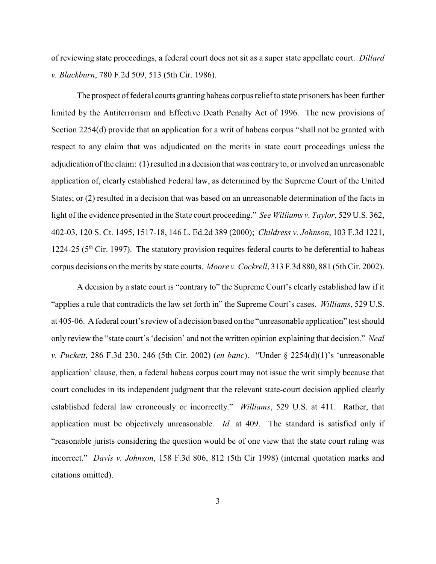of reviewing state proceedings, a federal court does not sit as a super state appellate court. *Dillard v. Blackburn*, 780 F.2d 509, 513 (5th Cir. 1986).

The prospect of federal courts granting habeas corpus relief to state prisoners has been further limited by the Antiterrorism and Effective Death Penalty Act of 1996. The new provisions of Section 2254(d) provide that an application for a writ of habeas corpus "shall not be granted with respect to any claim that was adjudicated on the merits in state court proceedings unless the adjudication of the claim: (1) resulted in a decision that was contrary to, or involved an unreasonable application of, clearly established Federal law, as determined by the Supreme Court of the United States; or (2) resulted in a decision that was based on an unreasonable determination of the facts in light of the evidence presented in the State court proceeding." *See Williams v. Taylor*, 529 U.S. 362, 402-03, 120 S. Ct. 1495, 1517-18, 146 L. Ed.2d 389 (2000); *Childress v. Johnson*, 103 F.3d 1221, 1224-25 ( $5<sup>th</sup>$  Cir. 1997). The statutory provision requires federal courts to be deferential to habeas corpus decisions on the merits by state courts. *Moore v. Cockrell*, 313 F.3d 880, 881 (5th Cir. 2002).

A decision by a state court is "contrary to" the Supreme Court's clearly established law if it "applies a rule that contradicts the law set forth in" the Supreme Court's cases. *Williams*, 529 U.S. at 405-06. A federal court's review of a decision based on the "unreasonable application" test should only review the "state court's 'decision' and not the written opinion explaining that decision." *Neal v. Puckett*, 286 F.3d 230, 246 (5th Cir. 2002) (*en banc*). "Under § 2254(d)(1)'s 'unreasonable application' clause, then, a federal habeas corpus court may not issue the writ simply because that court concludes in its independent judgment that the relevant state-court decision applied clearly established federal law erroneously or incorrectly." *Williams*, 529 U.S. at 411. Rather, that application must be objectively unreasonable. *Id.* at 409. The standard is satisfied only if "reasonable jurists considering the question would be of one view that the state court ruling was incorrect." *Davis v. Johnson*, 158 F.3d 806, 812 (5th Cir 1998) (internal quotation marks and citations omitted).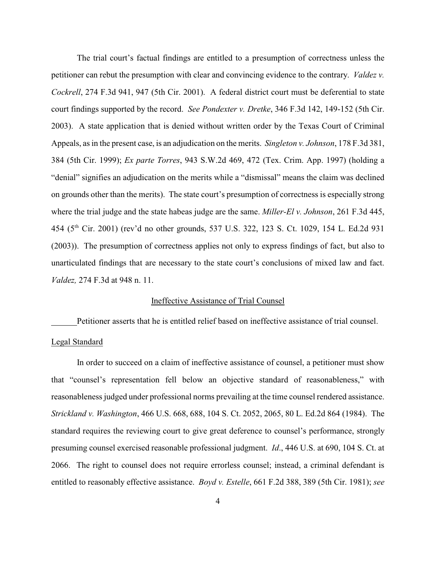The trial court's factual findings are entitled to a presumption of correctness unless the petitioner can rebut the presumption with clear and convincing evidence to the contrary. *Valdez v. Cockrell*, 274 F.3d 941, 947 (5th Cir. 2001). A federal district court must be deferential to state court findings supported by the record. *See Pondexter v. Dretke*, 346 F.3d 142, 149-152 (5th Cir. 2003). A state application that is denied without written order by the Texas Court of Criminal Appeals, as in the present case, is an adjudication on the merits. *Singleton v. Johnson*, 178 F.3d 381, 384 (5th Cir. 1999); *Ex parte Torres*, 943 S.W.2d 469, 472 (Tex. Crim. App. 1997) (holding a "denial" signifies an adjudication on the merits while a "dismissal" means the claim was declined on grounds other than the merits). The state court's presumption of correctness is especially strong where the trial judge and the state habeas judge are the same. *Miller-El v. Johnson*, 261 F.3d 445, 454 (5<sup>th</sup> Cir. 2001) (rev'd no other grounds, 537 U.S. 322, 123 S. Ct. 1029, 154 L. Ed.2d 931 (2003)). The presumption of correctness applies not only to express findings of fact, but also to unarticulated findings that are necessary to the state court's conclusions of mixed law and fact. *Valdez,* 274 F.3d at 948 n. 11.

### Ineffective Assistance of Trial Counsel

Petitioner asserts that he is entitled relief based on ineffective assistance of trial counsel.

#### Legal Standard

In order to succeed on a claim of ineffective assistance of counsel, a petitioner must show that "counsel's representation fell below an objective standard of reasonableness," with reasonableness judged under professional norms prevailing at the time counsel rendered assistance. *Strickland v. Washington*, 466 U.S. 668, 688, 104 S. Ct. 2052, 2065, 80 L. Ed.2d 864 (1984). The standard requires the reviewing court to give great deference to counsel's performance, strongly presuming counsel exercised reasonable professional judgment. *Id*., 446 U.S. at 690, 104 S. Ct. at 2066. The right to counsel does not require errorless counsel; instead, a criminal defendant is entitled to reasonably effective assistance. *Boyd v. Estelle*, 661 F.2d 388, 389 (5th Cir. 1981); *see*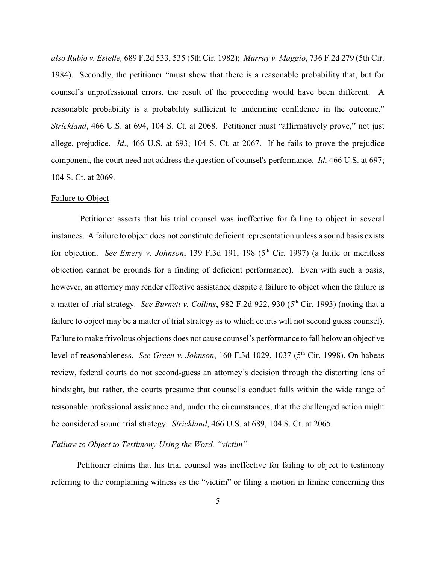*also Rubio v. Estelle,* 689 F.2d 533, 535 (5th Cir. 1982); *Murray v. Maggio*, 736 F.2d 279 (5th Cir. 1984). Secondly, the petitioner "must show that there is a reasonable probability that, but for counsel's unprofessional errors, the result of the proceeding would have been different. A reasonable probability is a probability sufficient to undermine confidence in the outcome." *Strickland*, 466 U.S. at 694, 104 S. Ct. at 2068. Petitioner must "affirmatively prove," not just allege, prejudice. *Id*., 466 U.S. at 693; 104 S. Ct. at 2067. If he fails to prove the prejudice component, the court need not address the question of counsel's performance. *Id*. 466 U.S. at 697; 104 S. Ct. at 2069.

### Failure to Object

 Petitioner asserts that his trial counsel was ineffective for failing to object in several instances. A failure to object does not constitute deficient representation unless a sound basis exists for objection. *See Emery v. Johnson*, 139 F.3d 191, 198 (5<sup>th</sup> Cir. 1997) (a futile or meritless objection cannot be grounds for a finding of deficient performance). Even with such a basis, however, an attorney may render effective assistance despite a failure to object when the failure is a matter of trial strategy. *See Burnett v. Collins*, 982 F.2d 922, 930 (5<sup>th</sup> Cir. 1993) (noting that a failure to object may be a matter of trial strategy as to which courts will not second guess counsel). Failure to make frivolous objections does not cause counsel's performance to fall below an objective level of reasonableness. *See Green v. Johnson*, 160 F.3d 1029, 1037 (5<sup>th</sup> Cir. 1998). On habeas review, federal courts do not second-guess an attorney's decision through the distorting lens of hindsight, but rather, the courts presume that counsel's conduct falls within the wide range of reasonable professional assistance and, under the circumstances, that the challenged action might be considered sound trial strategy. *Strickland*, 466 U.S. at 689, 104 S. Ct. at 2065.

# *Failure to Object to Testimony Using the Word, "victim"*

Petitioner claims that his trial counsel was ineffective for failing to object to testimony referring to the complaining witness as the "victim" or filing a motion in limine concerning this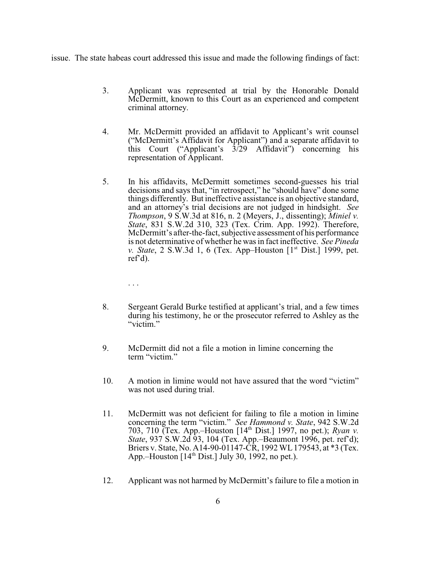issue. The state habeas court addressed this issue and made the following findings of fact:

- 3. Applicant was represented at trial by the Honorable Donald McDermitt, known to this Court as an experienced and competent criminal attorney.
- 4. Mr. McDermitt provided an affidavit to Applicant's writ counsel ("McDermitt's Affidavit for Applicant") and a separate affidavit to this Court ("Applicant's  $3/29$  Affidavit") concerning his representation of Applicant.
- 5. In his affidavits, McDermitt sometimes second-guesses his trial decisions and says that, "in retrospect," he "should have" done some things differently. But ineffective assistance is an objective standard, and an attorney's trial decisions are not judged in hindsight. *See Thompson*, 9 S.W.3d at 816, n. 2 (Meyers, J., dissenting); *Miniel v. State*, 831 S.W.2d 310, 323 (Tex. Crim. App. 1992). Therefore, McDermitt's after-the-fact, subjective assessment of his performance is not determinative of whether he was in fact ineffective. *See Pineda v. State*, 2 S.W.3d 1, 6 (Tex. App–Houston [1<sup>st</sup> Dist.] 1999, pet. ref'd).

. . .

- 8. Sergeant Gerald Burke testified at applicant's trial, and a few times during his testimony, he or the prosecutor referred to Ashley as the "victim."
- 9. McDermitt did not a file a motion in limine concerning the term "victim."
- 10. A motion in limine would not have assured that the word "victim" was not used during trial.
- 11. McDermitt was not deficient for failing to file a motion in limine concerning the term "victim." *See Hammond v. State*, 942 S.W.2d 703, 710 (Tex. App.–Houston [14<sup>th</sup> Dist.] 1997, no pet.); *Ryan v*. *State*, 937 S.W.2d 93, 104 (Tex. App.–Beaumont 1996, pet. ref'd); Briers v. State, No. A14-90-01147-CR, 1992 WL179543, at \*3 (Tex. App.–Houston  $[14<sup>th</sup> Dist.]$  July 30, 1992, no pet.).
- 12. Applicant was not harmed by McDermitt's failure to file a motion in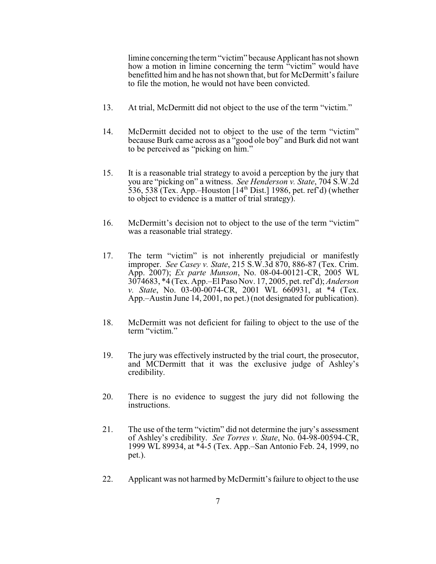limine concerning the term "victim" because Applicant has not shown how a motion in limine concerning the term "victim" would have benefitted him and he has not shown that, but for McDermitt's failure to file the motion, he would not have been convicted.

- 13. At trial, McDermitt did not object to the use of the term "victim."
- 14. McDermitt decided not to object to the use of the term "victim" because Burk came across as a "good ole boy" and Burk did not want to be perceived as "picking on him."
- 15. It is a reasonable trial strategy to avoid a perception by the jury that you are "picking on" a witness. *See Henderson v. State*, 704 S.W.2d 536, 538 (Tex. App.–Houston  $[14<sup>th</sup> Dist.]$  1986, pet. ref'd) (whether to object to evidence is a matter of trial strategy).
- 16. McDermitt's decision not to object to the use of the term "victim" was a reasonable trial strategy.
- 17. The term "victim" is not inherently prejudicial or manifestly improper. *See Casey v. State*, 215 S.W.3d 870, 886-87 (Tex. Crim. App. 2007); *Ex parte Munson*, No. 08-04-00121-CR, 2005 WL 3074683, \*4 (Tex. App.–El Paso Nov. 17, 2005, pet. ref'd); *Anderson v. State*, No. 03-00-0074-CR, 2001 WL 660931, at \*4 (Tex. App.–Austin June 14, 2001, no pet.) (not designated for publication).
- 18. McDermitt was not deficient for failing to object to the use of the term "victim."
- 19. The jury was effectively instructed by the trial court, the prosecutor, and MCDermitt that it was the exclusive judge of Ashley's credibility.
- 20. There is no evidence to suggest the jury did not following the instructions.
- 21. The use of the term "victim" did not determine the jury's assessment of Ashley's credibility. *See Torres v. State*, No. 04-98-00594-CR, 1999 WL 89934, at \*4-5 (Tex. App.–San Antonio Feb. 24, 1999, no pet.).
- 22. Applicant was not harmed by McDermitt's failure to object to the use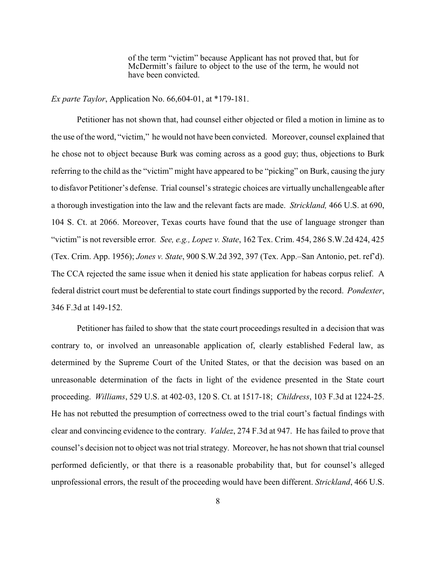of the term "victim" because Applicant has not proved that, but for McDermitt's failure to object to the use of the term, he would not have been convicted.

# *Ex parte Taylor*, Application No. 66,604-01, at \*179-181.

Petitioner has not shown that, had counsel either objected or filed a motion in limine as to the use of the word, "victim," he would not have been convicted. Moreover, counsel explained that he chose not to object because Burk was coming across as a good guy; thus, objections to Burk referring to the child as the "victim" might have appeared to be "picking" on Burk, causing the jury to disfavor Petitioner's defense. Trial counsel's strategic choices are virtually unchallengeable after a thorough investigation into the law and the relevant facts are made. *Strickland,* 466 U.S. at 690, 104 S. Ct. at 2066. Moreover, Texas courts have found that the use of language stronger than "victim" is not reversible error*. See, e.g., Lopez v. State*, 162 Tex. Crim. 454, 286 S.W.2d 424, 425 (Tex. Crim. App. 1956); *Jones v. State*, 900 S.W.2d 392, 397 (Tex. App.–San Antonio, pet. ref'd). The CCA rejected the same issue when it denied his state application for habeas corpus relief. A federal district court must be deferential to state court findings supported by the record. *Pondexter*, 346 F.3d at 149-152.

Petitioner has failed to show that the state court proceedings resulted in a decision that was contrary to, or involved an unreasonable application of, clearly established Federal law, as determined by the Supreme Court of the United States, or that the decision was based on an unreasonable determination of the facts in light of the evidence presented in the State court proceeding. *Williams*, 529 U.S. at 402-03, 120 S. Ct. at 1517-18; *Childress*, 103 F.3d at 1224-25. He has not rebutted the presumption of correctness owed to the trial court's factual findings with clear and convincing evidence to the contrary. *Valdez*, 274 F.3d at 947. He has failed to prove that counsel's decision not to object was not trial strategy. Moreover, he has not shown that trial counsel performed deficiently, or that there is a reasonable probability that, but for counsel's alleged unprofessional errors, the result of the proceeding would have been different. *Strickland*, 466 U.S.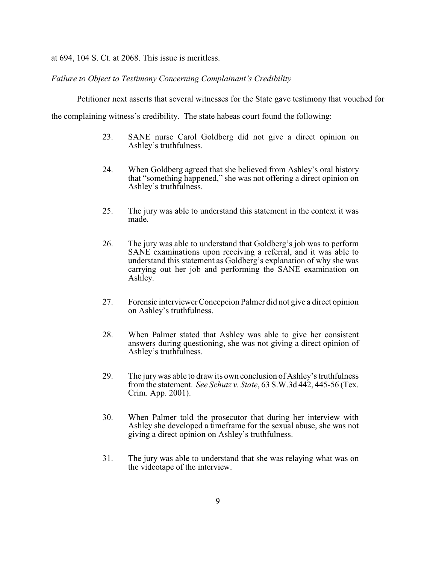at 694, 104 S. Ct. at 2068. This issue is meritless.

*Failure to Object to Testimony Concerning Complainant's Credibility*

Petitioner next asserts that several witnesses for the State gave testimony that vouched for

the complaining witness's credibility. The state habeas court found the following:

- 23. SANE nurse Carol Goldberg did not give a direct opinion on Ashley's truthfulness.
- 24. When Goldberg agreed that she believed from Ashley's oral history that "something happened," she was not offering a direct opinion on Ashley's truthfulness.
- 25. The jury was able to understand this statement in the context it was made.
- 26. The jury was able to understand that Goldberg's job was to perform SANE examinations upon receiving a referral, and it was able to understand this statement as Goldberg's explanation of why she was carrying out her job and performing the SANE examination on Ashley.
- 27. Forensic interviewer Concepcion Palmer did not give a direct opinion on Ashley's truthfulness.
- 28. When Palmer stated that Ashley was able to give her consistent answers during questioning, she was not giving a direct opinion of Ashley's truthfulness.
- 29. The jury was able to draw its own conclusion of Ashley's truthfulness from the statement. *See Schutz v. State*, 63 S.W.3d 442, 445-56 (Tex. Crim. App. 2001).
- 30. When Palmer told the prosecutor that during her interview with Ashley she developed a timeframe for the sexual abuse, she was not giving a direct opinion on Ashley's truthfulness.
- 31. The jury was able to understand that she was relaying what was on the videotape of the interview.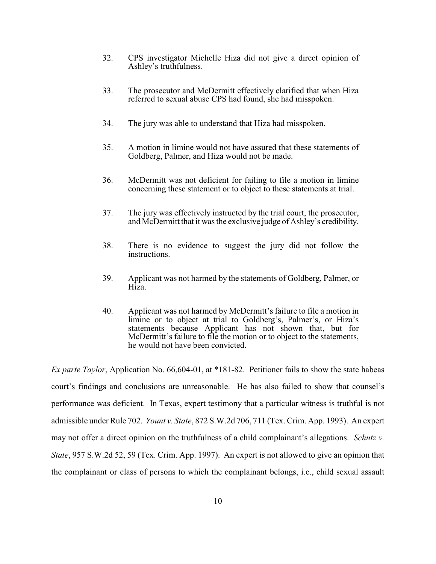- 32. CPS investigator Michelle Hiza did not give a direct opinion of Ashley's truthfulness.
- 33. The prosecutor and McDermitt effectively clarified that when Hiza referred to sexual abuse CPS had found, she had misspoken.
- 34. The jury was able to understand that Hiza had misspoken.
- 35. A motion in limine would not have assured that these statements of Goldberg, Palmer, and Hiza would not be made.
- 36. McDermitt was not deficient for failing to file a motion in limine concerning these statement or to object to these statements at trial.
- 37. The jury was effectively instructed by the trial court, the prosecutor, and McDermitt that it was the exclusive judge of Ashley's credibility.
- 38. There is no evidence to suggest the jury did not follow the instructions.
- 39. Applicant was not harmed by the statements of Goldberg, Palmer, or Hiza.
- 40. Applicant was not harmed by McDermitt's failure to file a motion in limine or to object at trial to Goldberg's, Palmer's, or Hiza's statements because Applicant has not shown that, but for McDermitt's failure to file the motion or to object to the statements, he would not have been convicted.

*Ex parte Taylor*, Application No. 66,604-01, at \*181-82. Petitioner fails to show the state habeas court's findings and conclusions are unreasonable. He has also failed to show that counsel's performance was deficient. In Texas, expert testimony that a particular witness is truthful is not admissible under Rule 702. *Yount v. State*, 872 S.W.2d 706, 711 (Tex. Crim. App. 1993). An expert may not offer a direct opinion on the truthfulness of a child complainant's allegations. *Schutz v. State*, 957 S.W.2d 52, 59 (Tex. Crim. App. 1997). An expert is not allowed to give an opinion that the complainant or class of persons to which the complainant belongs, i.e., child sexual assault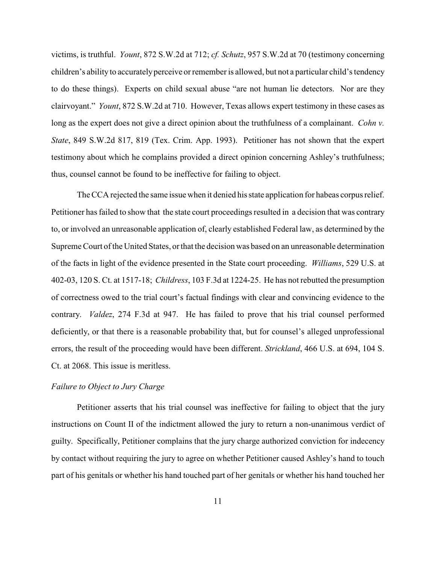victims, is truthful. *Yount*, 872 S.W.2d at 712; *cf. Schutz*, 957 S.W.2d at 70 (testimony concerning children's ability to accuratelyperceive or remember is allowed, but not a particular child's tendency to do these things). Experts on child sexual abuse "are not human lie detectors. Nor are they clairvoyant." *Yount*, 872 S.W.2d at 710. However, Texas allows expert testimony in these cases as long as the expert does not give a direct opinion about the truthfulness of a complainant. *Cohn v. State*, 849 S.W.2d 817, 819 (Tex. Crim. App. 1993). Petitioner has not shown that the expert testimony about which he complains provided a direct opinion concerning Ashley's truthfulness; thus, counsel cannot be found to be ineffective for failing to object.

The CCA rejected the same issue when it denied his state application for habeas corpus relief. Petitioner has failed to show that the state court proceedings resulted in a decision that was contrary to, or involved an unreasonable application of, clearly established Federal law, as determined by the Supreme Court of the United States, or that the decision was based on an unreasonable determination of the facts in light of the evidence presented in the State court proceeding. *Williams*, 529 U.S. at 402-03, 120 S. Ct. at 1517-18; *Childress*, 103 F.3d at 1224-25. He has not rebutted the presumption of correctness owed to the trial court's factual findings with clear and convincing evidence to the contrary. *Valdez*, 274 F.3d at 947. He has failed to prove that his trial counsel performed deficiently, or that there is a reasonable probability that, but for counsel's alleged unprofessional errors, the result of the proceeding would have been different. *Strickland*, 466 U.S. at 694, 104 S. Ct. at 2068. This issue is meritless.

### *Failure to Object to Jury Charge*

Petitioner asserts that his trial counsel was ineffective for failing to object that the jury instructions on Count II of the indictment allowed the jury to return a non-unanimous verdict of guilty. Specifically, Petitioner complains that the jury charge authorized conviction for indecency by contact without requiring the jury to agree on whether Petitioner caused Ashley's hand to touch part of his genitals or whether his hand touched part of her genitals or whether his hand touched her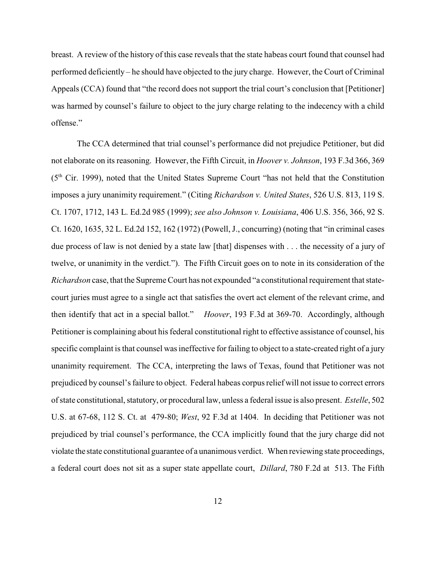breast. A review of the history of this case reveals that the state habeas court found that counsel had performed deficiently – he should have objected to the jury charge. However, the Court of Criminal Appeals (CCA) found that "the record does not support the trial court's conclusion that [Petitioner] was harmed by counsel's failure to object to the jury charge relating to the indecency with a child offense."

The CCA determined that trial counsel's performance did not prejudice Petitioner, but did not elaborate on its reasoning. However, the Fifth Circuit, in *Hoover v. Johnson*, 193 F.3d 366, 369  $(5<sup>th</sup> Cir. 1999)$ , noted that the United States Supreme Court "has not held that the Constitution imposes a jury unanimity requirement." (Citing *Richardson v. United States*, 526 U.S. 813, 119 S. Ct. 1707, 1712, 143 L. Ed.2d 985 (1999); *see also Johnson v. Louisiana*, 406 U.S. 356, 366, 92 S. Ct. 1620, 1635, 32 L. Ed.2d 152, 162 (1972) (Powell, J., concurring) (noting that "in criminal cases due process of law is not denied by a state law [that] dispenses with . . . the necessity of a jury of twelve, or unanimity in the verdict."). The Fifth Circuit goes on to note in its consideration of the *Richardson* case, that the Supreme Court has not expounded "a constitutional requirement that statecourt juries must agree to a single act that satisfies the overt act element of the relevant crime, and then identify that act in a special ballot." *Hoover*, 193 F.3d at 369-70. Accordingly, although Petitioner is complaining about his federal constitutional right to effective assistance of counsel, his specific complaint is that counsel was ineffective for failing to object to a state-created right of a jury unanimity requirement. The CCA, interpreting the laws of Texas, found that Petitioner was not prejudiced by counsel's failure to object. Federal habeas corpus relief will not issue to correct errors of state constitutional, statutory, or procedural law, unless a federal issue is also present. *Estelle*, 502 U.S. at 67-68, 112 S. Ct. at 479-80; *West*, 92 F.3d at 1404. In deciding that Petitioner was not prejudiced by trial counsel's performance, the CCA implicitly found that the jury charge did not violate the state constitutional guarantee of a unanimous verdict. When reviewing state proceedings, a federal court does not sit as a super state appellate court, *Dillard*, 780 F.2d at 513. The Fifth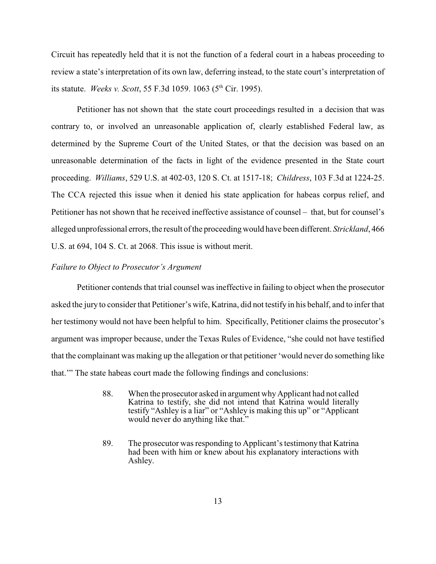Circuit has repeatedly held that it is not the function of a federal court in a habeas proceeding to review a state's interpretation of its own law, deferring instead, to the state court's interpretation of its statute. *Weeks v. Scott*, 55 F.3d 1059. 1063 (5<sup>th</sup> Cir. 1995).

Petitioner has not shown that the state court proceedings resulted in a decision that was contrary to, or involved an unreasonable application of, clearly established Federal law, as determined by the Supreme Court of the United States, or that the decision was based on an unreasonable determination of the facts in light of the evidence presented in the State court proceeding. *Williams*, 529 U.S. at 402-03, 120 S. Ct. at 1517-18; *Childress*, 103 F.3d at 1224-25. The CCA rejected this issue when it denied his state application for habeas corpus relief, and Petitioner has not shown that he received ineffective assistance of counsel – that, but for counsel's alleged unprofessional errors, the result of the proceedingwould have been different. *Strickland*, 466 U.S. at 694, 104 S. Ct. at 2068. This issue is without merit.

# *Failure to Object to Prosecutor's Argument*

Petitioner contends that trial counsel was ineffective in failing to object when the prosecutor asked the jury to consider that Petitioner's wife, Katrina, did not testify in his behalf, and to infer that her testimony would not have been helpful to him. Specifically, Petitioner claims the prosecutor's argument was improper because, under the Texas Rules of Evidence, "she could not have testified that the complainant was making up the allegation or that petitioner 'would never do something like that.'" The state habeas court made the following findings and conclusions:

- 88. When the prosecutor asked in argument why Applicant had not called Katrina to testify, she did not intend that Katrina would literally testify "Ashley is a liar" or "Ashley is making this up" or "Applicant would never do anything like that."
- 89. The prosecutor was responding to Applicant's testimony that Katrina had been with him or knew about his explanatory interactions with Ashley.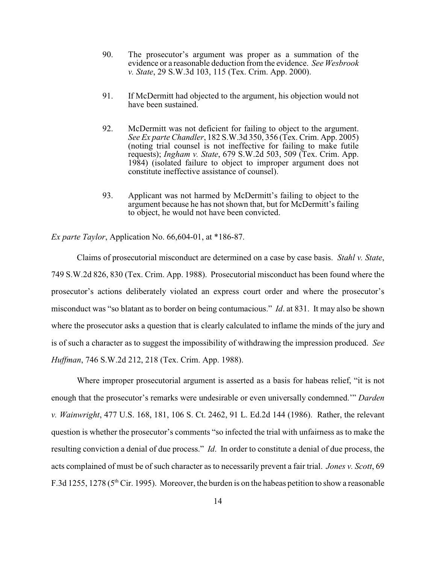- 90. The prosecutor's argument was proper as a summation of the evidence or a reasonable deduction from the evidence. *See Wesbrook v. State*, 29 S.W.3d 103, 115 (Tex. Crim. App. 2000).
- 91. If McDermitt had objected to the argument, his objection would not have been sustained.
- 92. McDermitt was not deficient for failing to object to the argument. *See Ex parte Chandler*, 182 S.W.3d 350, 356 (Tex. Crim. App. 2005) (noting trial counsel is not ineffective for failing to make futile requests); *Ingham v. State*, 679 S.W.2d 503, 509 (Tex. Crim. App. 1984) (isolated failure to object to improper argument does not constitute ineffective assistance of counsel).
- 93. Applicant was not harmed by McDermitt's failing to object to the argument because he has not shown that, but for McDermitt's failing to object, he would not have been convicted.

*Ex parte Taylor*, Application No. 66,604-01, at \*186-87.

Claims of prosecutorial misconduct are determined on a case by case basis. *Stahl v. State*, 749 S.W.2d 826, 830 (Tex. Crim. App. 1988). Prosecutorial misconduct has been found where the prosecutor's actions deliberately violated an express court order and where the prosecutor's misconduct was "so blatant as to border on being contumacious." *Id*. at 831. It may also be shown where the prosecutor asks a question that is clearly calculated to inflame the minds of the jury and is of such a character as to suggest the impossibility of withdrawing the impression produced. *See Huffman*, 746 S.W.2d 212, 218 (Tex. Crim. App. 1988).

Where improper prosecutorial argument is asserted as a basis for habeas relief, "it is not enough that the prosecutor's remarks were undesirable or even universally condemned.'" *Darden v. Wainwright*, 477 U.S. 168, 181, 106 S. Ct. 2462, 91 L. Ed.2d 144 (1986). Rather, the relevant question is whether the prosecutor's comments "so infected the trial with unfairness as to make the resulting conviction a denial of due process." *Id*. In order to constitute a denial of due process, the acts complained of must be of such character as to necessarily prevent a fair trial. *Jones v. Scott*, 69 F.3d 1255, 1278 ( $5<sup>th</sup>$  Cir. 1995). Moreover, the burden is on the habeas petition to show a reasonable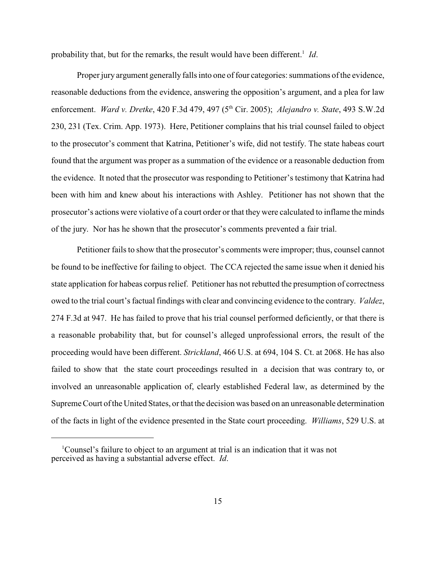probability that, but for the remarks, the result would have been different.<sup>1</sup> Id.

Proper jury argument generally falls into one of four categories: summations of the evidence, reasonable deductions from the evidence, answering the opposition's argument, and a plea for law enforcement. *Ward v. Dretke*, 420 F.3d 479, 497 (5<sup>th</sup> Cir. 2005); *Alejandro v. State*, 493 S.W.2d 230, 231 (Tex. Crim. App. 1973). Here, Petitioner complains that his trial counsel failed to object to the prosecutor's comment that Katrina, Petitioner's wife, did not testify. The state habeas court found that the argument was proper as a summation of the evidence or a reasonable deduction from the evidence. It noted that the prosecutor was responding to Petitioner's testimony that Katrina had been with him and knew about his interactions with Ashley. Petitioner has not shown that the prosecutor's actions were violative of a court order or that they were calculated to inflame the minds of the jury. Nor has he shown that the prosecutor's comments prevented a fair trial.

Petitioner fails to show that the prosecutor's comments were improper; thus, counsel cannot be found to be ineffective for failing to object. The CCA rejected the same issue when it denied his state application for habeas corpus relief. Petitioner has not rebutted the presumption of correctness owed to the trial court's factual findings with clear and convincing evidence to the contrary. *Valdez*, 274 F.3d at 947. He has failed to prove that his trial counsel performed deficiently, or that there is a reasonable probability that, but for counsel's alleged unprofessional errors, the result of the proceeding would have been different. *Strickland*, 466 U.S. at 694, 104 S. Ct. at 2068. He has also failed to show that the state court proceedings resulted in a decision that was contrary to, or involved an unreasonable application of, clearly established Federal law, as determined by the Supreme Court ofthe United States, or that the decision was based on an unreasonable determination of the facts in light of the evidence presented in the State court proceeding. *Williams*, 529 U.S. at

<sup>&</sup>lt;sup>1</sup>Counsel's failure to object to an argument at trial is an indication that it was not perceived as having a substantial adverse effect. *Id*.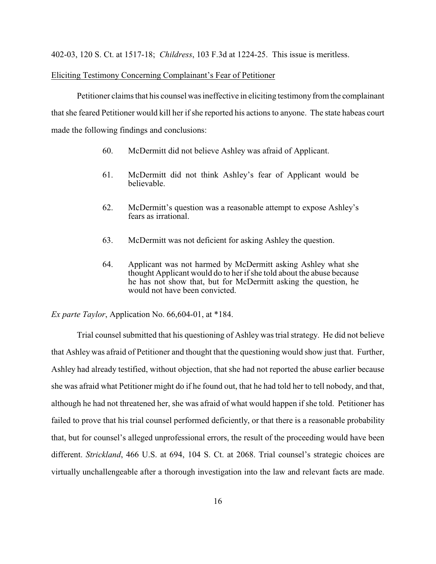402-03, 120 S. Ct. at 1517-18; *Childress*, 103 F.3d at 1224-25. This issue is meritless.

### Eliciting Testimony Concerning Complainant's Fear of Petitioner

Petitioner claims that his counsel was ineffective in eliciting testimony from the complainant that she feared Petitioner would kill her if she reported his actions to anyone. The state habeas court made the following findings and conclusions:

- 60. McDermitt did not believe Ashley was afraid of Applicant.
- 61. McDermitt did not think Ashley's fear of Applicant would be believable.
- 62. McDermitt's question was a reasonable attempt to expose Ashley's fears as irrational.
- 63. McDermitt was not deficient for asking Ashley the question.
- 64. Applicant was not harmed by McDermitt asking Ashley what she thought Applicant would do to her if she told about the abuse because he has not show that, but for McDermitt asking the question, he would not have been convicted.

*Ex parte Taylor*, Application No. 66,604-01, at \*184.

Trial counsel submitted that his questioning of Ashley was trial strategy. He did not believe that Ashley was afraid of Petitioner and thought that the questioning would show just that. Further, Ashley had already testified, without objection, that she had not reported the abuse earlier because she was afraid what Petitioner might do if he found out, that he had told her to tell nobody, and that, although he had not threatened her, she was afraid of what would happen if she told. Petitioner has failed to prove that his trial counsel performed deficiently, or that there is a reasonable probability that, but for counsel's alleged unprofessional errors, the result of the proceeding would have been different. *Strickland*, 466 U.S. at 694, 104 S. Ct. at 2068. Trial counsel's strategic choices are virtually unchallengeable after a thorough investigation into the law and relevant facts are made.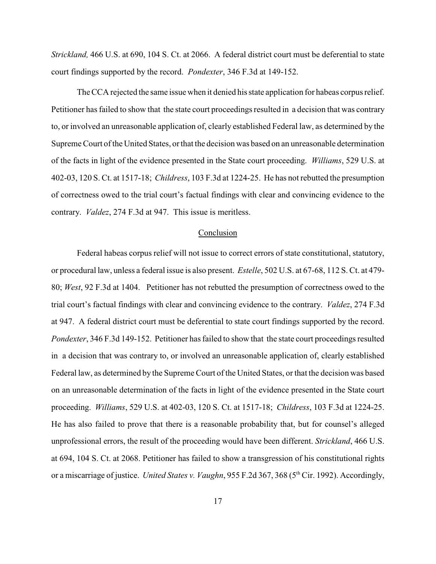*Strickland,* 466 U.S. at 690, 104 S. Ct. at 2066. A federal district court must be deferential to state court findings supported by the record. *Pondexter*, 346 F.3d at 149-152.

The CCA rejected the same issue when it denied his state application for habeas corpus relief. Petitioner has failed to show that the state court proceedings resulted in a decision that was contrary to, or involved an unreasonable application of, clearly established Federal law, as determined by the Supreme Court of the United States, or that the decision was based on an unreasonable determination of the facts in light of the evidence presented in the State court proceeding. *Williams*, 529 U.S. at 402-03, 120 S. Ct. at 1517-18; *Childress*, 103 F.3d at 1224-25. He has not rebutted the presumption of correctness owed to the trial court's factual findings with clear and convincing evidence to the contrary. *Valdez*, 274 F.3d at 947. This issue is meritless.

# Conclusion

Federal habeas corpus relief will not issue to correct errors of state constitutional, statutory, or procedural law, unless a federal issue is also present. *Estelle*, 502 U.S. at 67-68, 112 S. Ct. at 479- 80; *West*, 92 F.3d at 1404. Petitioner has not rebutted the presumption of correctness owed to the trial court's factual findings with clear and convincing evidence to the contrary. *Valdez*, 274 F.3d at 947. A federal district court must be deferential to state court findings supported by the record. *Pondexter*, 346 F.3d 149-152. Petitioner has failed to show that the state court proceedings resulted in a decision that was contrary to, or involved an unreasonable application of, clearly established Federal law, as determined by the Supreme Court of the United States, or that the decision was based on an unreasonable determination of the facts in light of the evidence presented in the State court proceeding. *Williams*, 529 U.S. at 402-03, 120 S. Ct. at 1517-18; *Childress*, 103 F.3d at 1224-25. He has also failed to prove that there is a reasonable probability that, but for counsel's alleged unprofessional errors, the result of the proceeding would have been different. *Strickland*, 466 U.S. at 694, 104 S. Ct. at 2068. Petitioner has failed to show a transgression of his constitutional rights or a miscarriage of justice. *United States v. Vaughn*, 955 F.2d 367, 368 (5<sup>th</sup> Cir. 1992). Accordingly,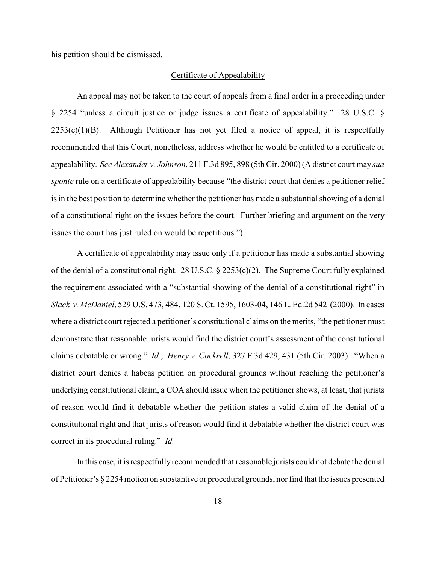his petition should be dismissed.

### Certificate of Appealability

An appeal may not be taken to the court of appeals from a final order in a proceeding under § 2254 "unless a circuit justice or judge issues a certificate of appealability." 28 U.S.C. §  $2253(c)(1)(B)$ . Although Petitioner has not yet filed a notice of appeal, it is respectfully recommended that this Court, nonetheless, address whether he would be entitled to a certificate of appealability. *See Alexander v. Johnson*, 211 F.3d 895, 898 (5th Cir. 2000) (A district court may *sua sponte* rule on a certificate of appealability because "the district court that denies a petitioner relief is in the best position to determine whether the petitioner has made a substantial showing of a denial of a constitutional right on the issues before the court. Further briefing and argument on the very issues the court has just ruled on would be repetitious.").

A certificate of appealability may issue only if a petitioner has made a substantial showing of the denial of a constitutional right. 28 U.S.C. § 2253(c)(2). The Supreme Court fully explained the requirement associated with a "substantial showing of the denial of a constitutional right" in *Slack v. McDaniel*, 529 U.S. 473, 484, 120 S. Ct. 1595, 1603-04, 146 L. Ed.2d 542 (2000). In cases where a district court rejected a petitioner's constitutional claims on the merits, "the petitioner must demonstrate that reasonable jurists would find the district court's assessment of the constitutional claims debatable or wrong." *Id.*; *Henry v. Cockrell*, 327 F.3d 429, 431 (5th Cir. 2003). "When a district court denies a habeas petition on procedural grounds without reaching the petitioner's underlying constitutional claim, a COA should issue when the petitioner shows, at least, that jurists of reason would find it debatable whether the petition states a valid claim of the denial of a constitutional right and that jurists of reason would find it debatable whether the district court was correct in its procedural ruling." *Id.*

In this case, it is respectfully recommended that reasonable jurists could not debate the denial of Petitioner's § 2254 motion on substantive or procedural grounds, nor find that the issues presented